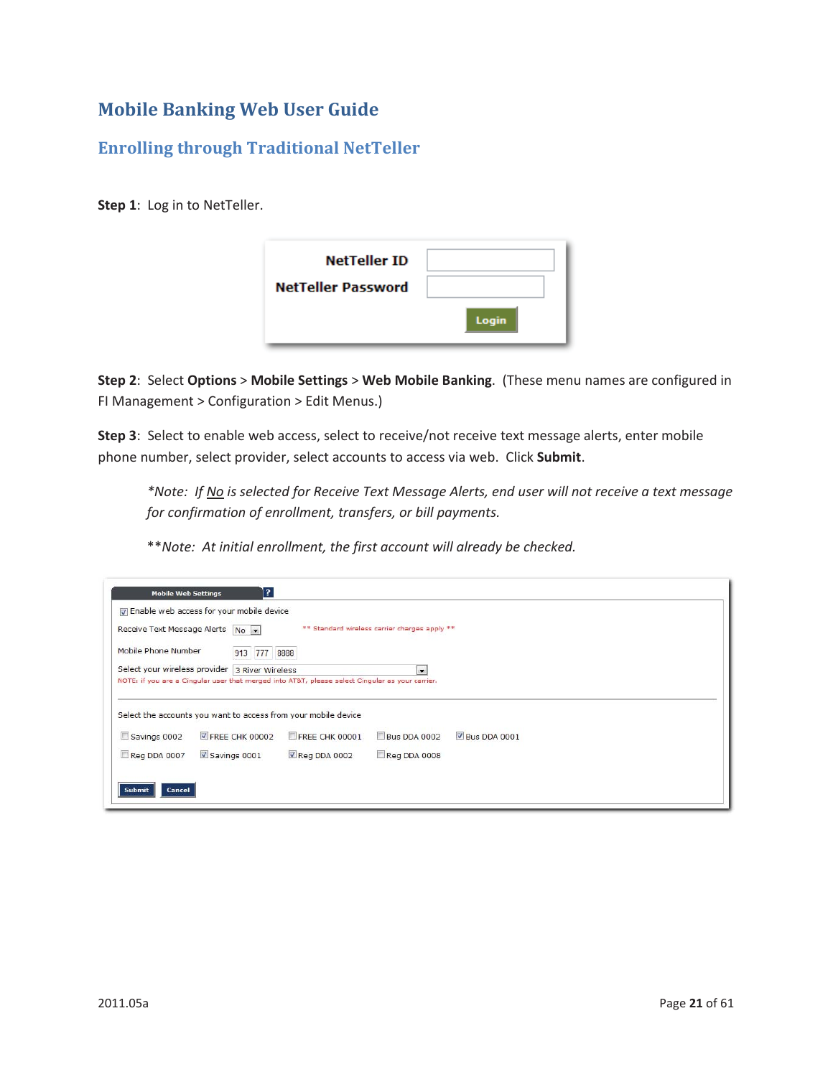## **Mobile Banking Web User Guide**

## **Enrolling through Traditional NetTeller**

**Step 1**: Log in to NetTeller.

| <b>NetTeller ID</b>       |              |
|---------------------------|--------------|
| <b>NetTeller Password</b> |              |
|                           | <b>Login</b> |

**Step 2**: Select **Options** > **Mobile Settings** > **Web Mobile Banking**. (These menu names are configured in FI Management > Configuration > Edit Menus.)

**Step 3**: Select to enable web access, select to receive/not receive text message alerts, enter mobile phone number, select provider, select accounts to access via web. Click **Submit**.

*\*Note: If No is selected for Receive Text Message Alerts, end user will not receive a text message for confirmation of enrollment, transfers, or bill payments.* 

\*\**Note: At initial enrollment, the first account will already be checked.* 

| <b>Mobile Web Settings</b>                                                 | 13<br>T Enable web access for your mobile device |                                                                                                 |                                               |              |  |
|----------------------------------------------------------------------------|--------------------------------------------------|-------------------------------------------------------------------------------------------------|-----------------------------------------------|--------------|--|
| Receive Text Message Alerts                                                | $No$ $\rightarrow$                               |                                                                                                 | ** Standard wireless carrier charges apply ** |              |  |
| Mobile Phone Number                                                        | 913<br>777                                       | 8888                                                                                            |                                               |              |  |
| Select your wireless provider 3 River Wireless<br>$\overline{\phantom{a}}$ |                                                  |                                                                                                 |                                               |              |  |
|                                                                            |                                                  | NOTE: if you are a Cingular user that merged into AT&T, please select Cingular as your carrier. |                                               |              |  |
| Select the accounts you want to access from your mobile device             |                                                  |                                                                                                 |                                               |              |  |
| Savings 0002                                                               | FREE CHK 00002                                   | FREE CHK 00001                                                                                  | <b>Bus DDA 0002</b>                           | Bus DDA 0001 |  |
| Reg DDA 0007                                                               | Savings 0001                                     | Reg DDA 0002                                                                                    | Reg DDA 0008                                  |              |  |
|                                                                            |                                                  |                                                                                                 |                                               |              |  |
| <b>Submit</b><br>Cancel                                                    |                                                  |                                                                                                 |                                               |              |  |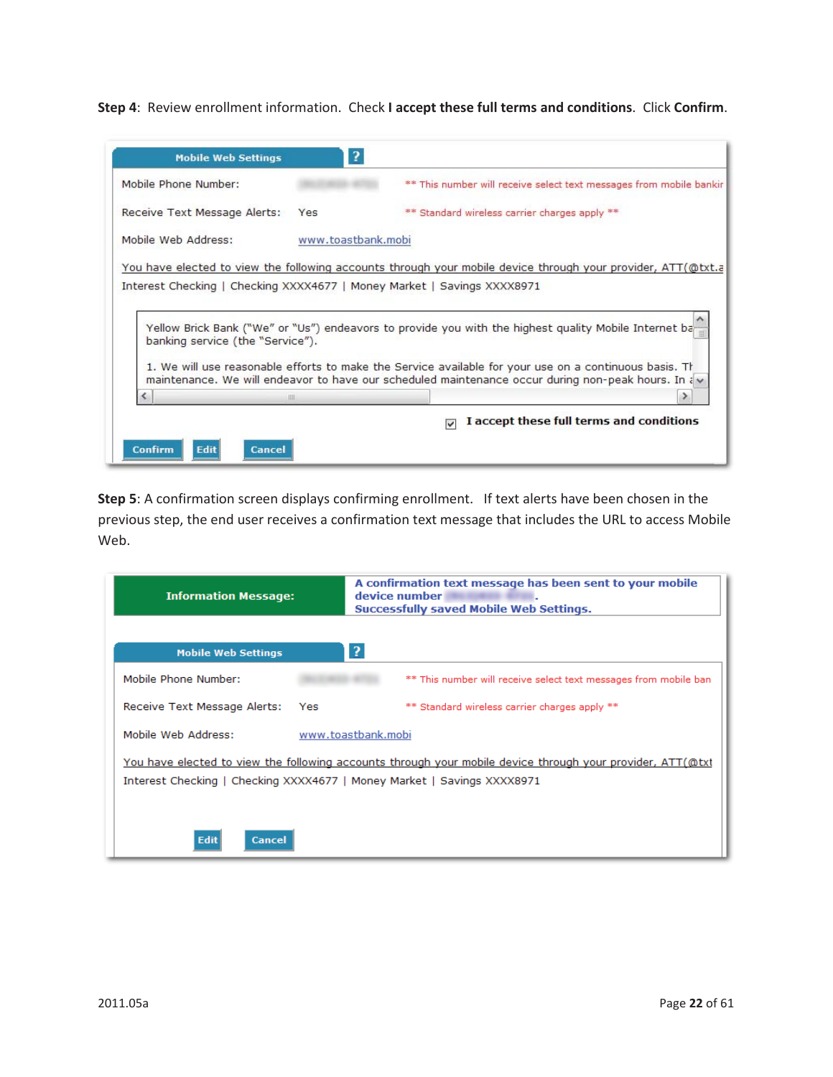**Step 4**: Review enrollment information. Check **I accept these full terms and conditions**. Click **Confirm**.

| <b>Mobile Web Settings</b>                                                                                  | $\overline{\mathbf{r}}$ |                                                                                                                                                                                                                 |
|-------------------------------------------------------------------------------------------------------------|-------------------------|-----------------------------------------------------------------------------------------------------------------------------------------------------------------------------------------------------------------|
| Mobile Phone Number:                                                                                        |                         | ** This number will receive select text messages from mobile bankir                                                                                                                                             |
| Receive Text Message Alerts:                                                                                | Yes                     | ** Standard wireless carrier charges apply **                                                                                                                                                                   |
| Mobile Web Address:                                                                                         | www.toastbank.mobi      |                                                                                                                                                                                                                 |
| Interest Checking   Checking XXXX4677   Money Market   Savings XXXX8971<br>banking service (the "Service"). |                         | Yellow Brick Bank ("We" or "Us") endeavors to provide you with the highest quality Mobile Internet ba<br>1. We will use reasonable efforts to make the Service available for your use on a continuous basis. Th |
|                                                                                                             | Ⅲ                       | maintenance. We will endeavor to have our scheduled maintenance occur during non-peak hours. In a                                                                                                               |
|                                                                                                             |                         | I accept these full terms and conditions                                                                                                                                                                        |
|                                                                                                             |                         |                                                                                                                                                                                                                 |

**Step 5**: A confirmation screen displays confirming enrollment. If text alerts have been chosen in the previous step, the end user receives a confirmation text message that includes the URL to access Mobile Web.

| <b>Information Message:</b>                                                                                                                                                           | A confirmation text message has been sent to your mobile<br>device number<br>Successfully saved Mobile Web Settings. |  |  |  |
|---------------------------------------------------------------------------------------------------------------------------------------------------------------------------------------|----------------------------------------------------------------------------------------------------------------------|--|--|--|
| <b>Mobile Web Settings</b>                                                                                                                                                            | $\overline{?}$                                                                                                       |  |  |  |
| Mobile Phone Number:                                                                                                                                                                  | ** This number will receive select text messages from mobile ban                                                     |  |  |  |
| Receive Text Message Alerts:<br>Yes                                                                                                                                                   | ** Standard wireless carrier charges apply **                                                                        |  |  |  |
| Mobile Web Address:                                                                                                                                                                   | www.toastbank.mobi                                                                                                   |  |  |  |
| You have elected to view the following accounts through your mobile device through your provider, ATT(@txt<br>Interest Checking   Checking XXXX4677   Money Market   Savings XXXX8971 |                                                                                                                      |  |  |  |
| <b>Edit</b><br>Cancel                                                                                                                                                                 |                                                                                                                      |  |  |  |